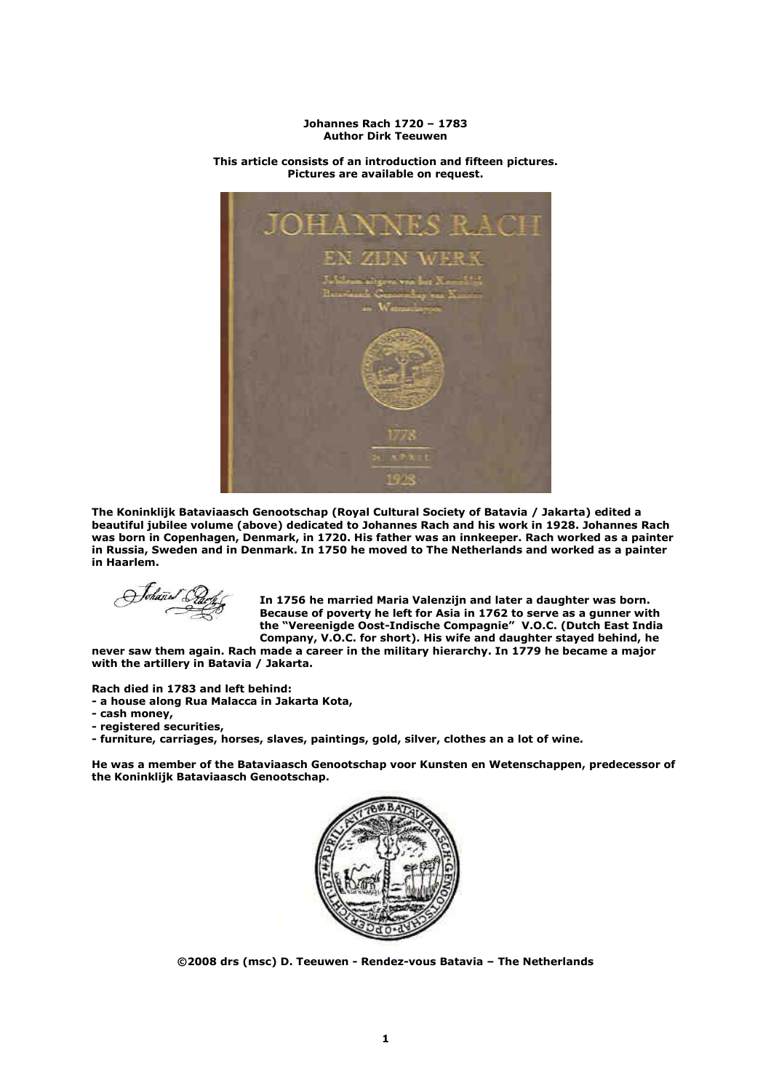## **Johannes Rach 1720 – 1783 Author Dirk Teeuwen**



**This article consists of an introduction and fifteen pictures. Pictures are available on request.** 

**The Koninklijk Bataviaasch Genootschap (Royal Cultural Society of Batavia / Jakarta) edited a beautiful jubilee volume (above) dedicated to Johannes Rach and his work in 1928. Johannes Rach was born in Copenhagen, Denmark, in 1720. His father was an innkeeper. Rach worked as a painter in Russia, Sweden and in Denmark. In 1750 he moved to The Netherlands and worked as a painter in Haarlem.** 

Fohan

**In 1756 he married Maria Valenzijn and later a daughter was born. Because of poverty he left for Asia in 1762 to serve as a gunner with the "Vereenigde Oost-Indische Compagnie" V.O.C. (Dutch East India Company, V.O.C. for short). His wife and daughter stayed behind, he** 

**never saw them again. Rach made a career in the military hierarchy. In 1779 he became a major with the artillery in Batavia / Jakarta.** 

**Rach died in 1783 and left behind:** 

**- a house along Rua Malacca in Jakarta Kota,** 

- **cash money,**
- **registered securities,**

**- furniture, carriages, horses, slaves, paintings, gold, silver, clothes an a lot of wine.** 

**He was a member of the Bataviaasch Genootschap voor Kunsten en Wetenschappen, predecessor of the Koninklijk Bataviaasch Genootschap.** 



**©2008 drs (msc) D. Teeuwen - Rendez-vous Batavia – The Netherlands**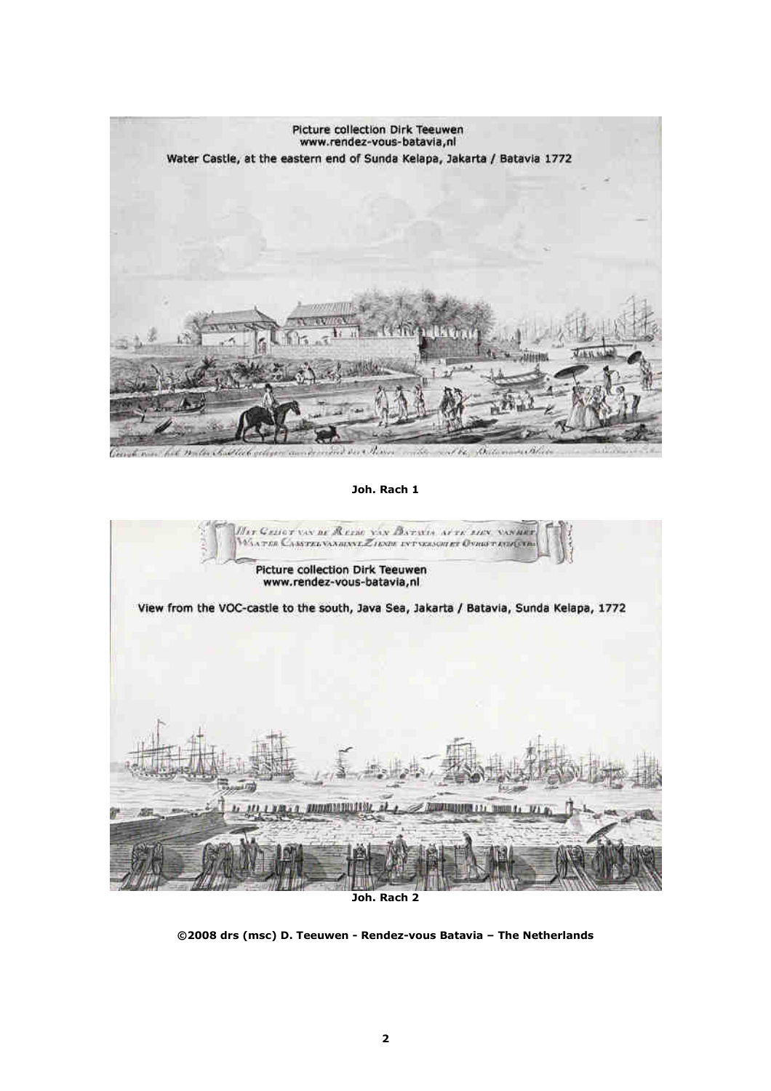

**Joh. Rach 1** 



**Joh. Rach 2**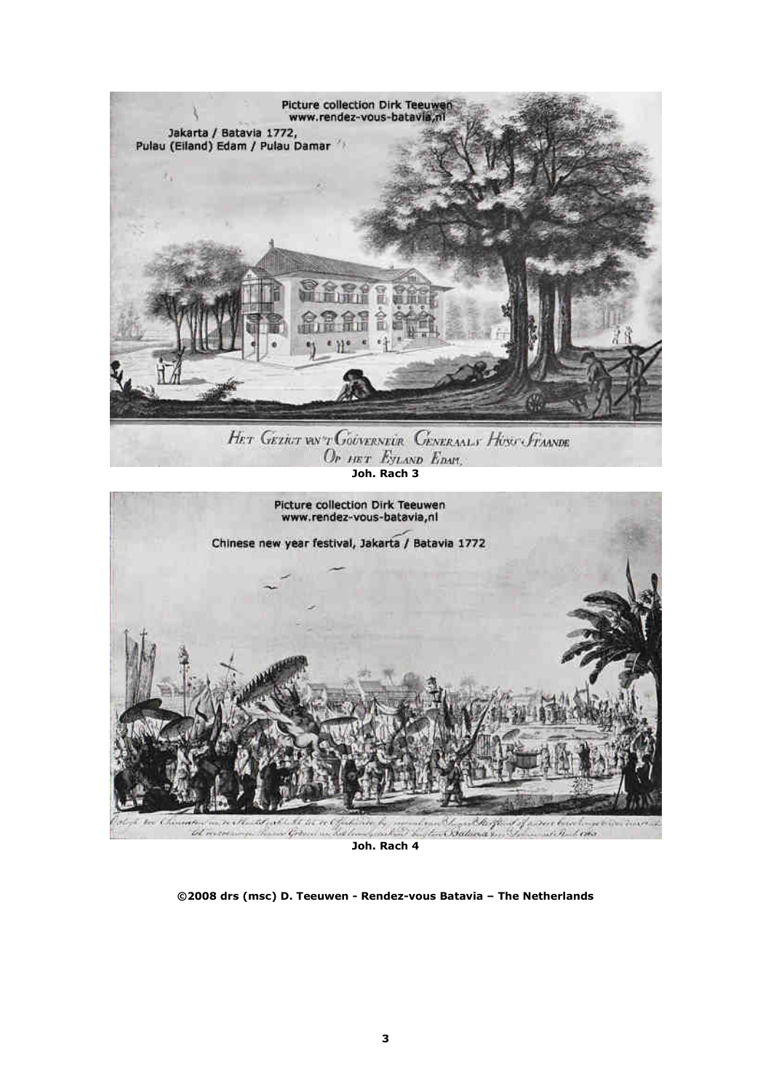

**Joh. Rach 4**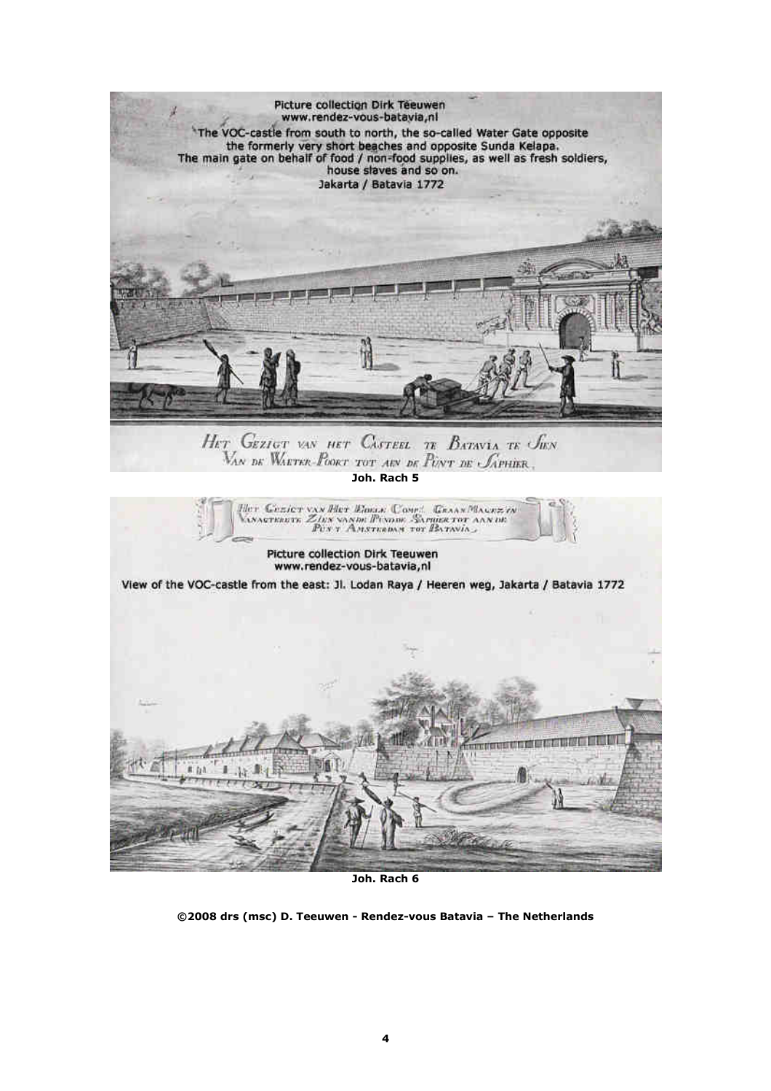

**Joh. Rach 6**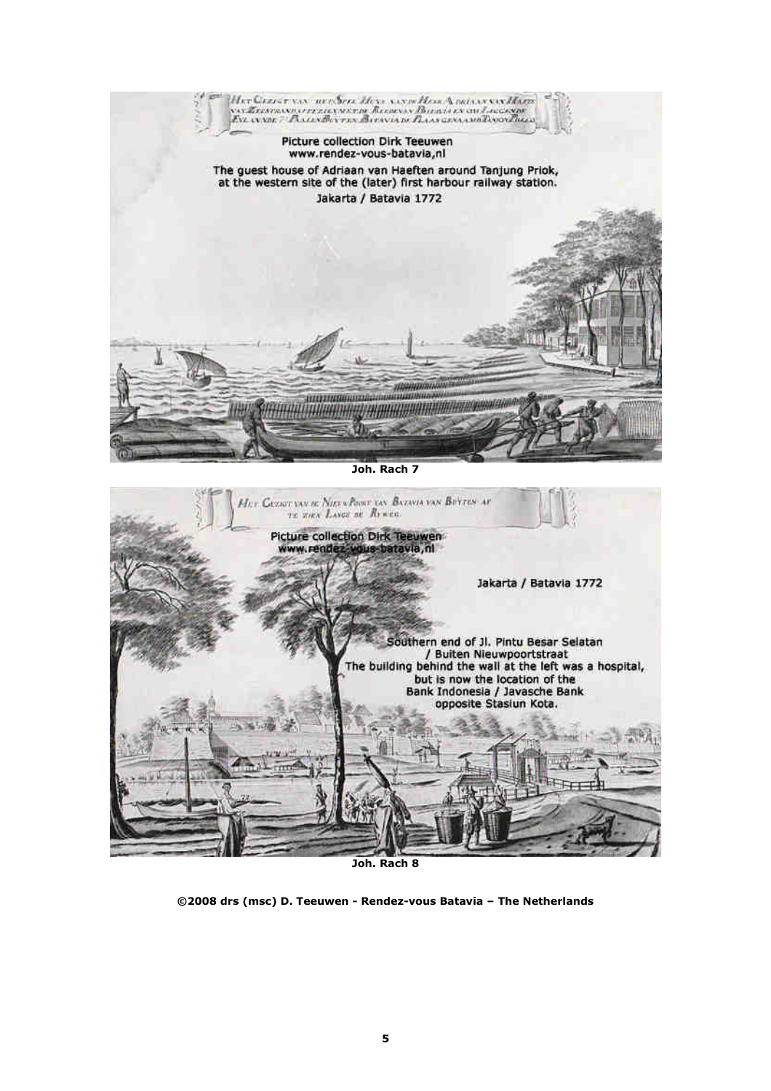

**Joh. Rach 8** 

**©2008 drs (msc) D. Teeuwen - Rendez-vous Batavia – The Netherlands**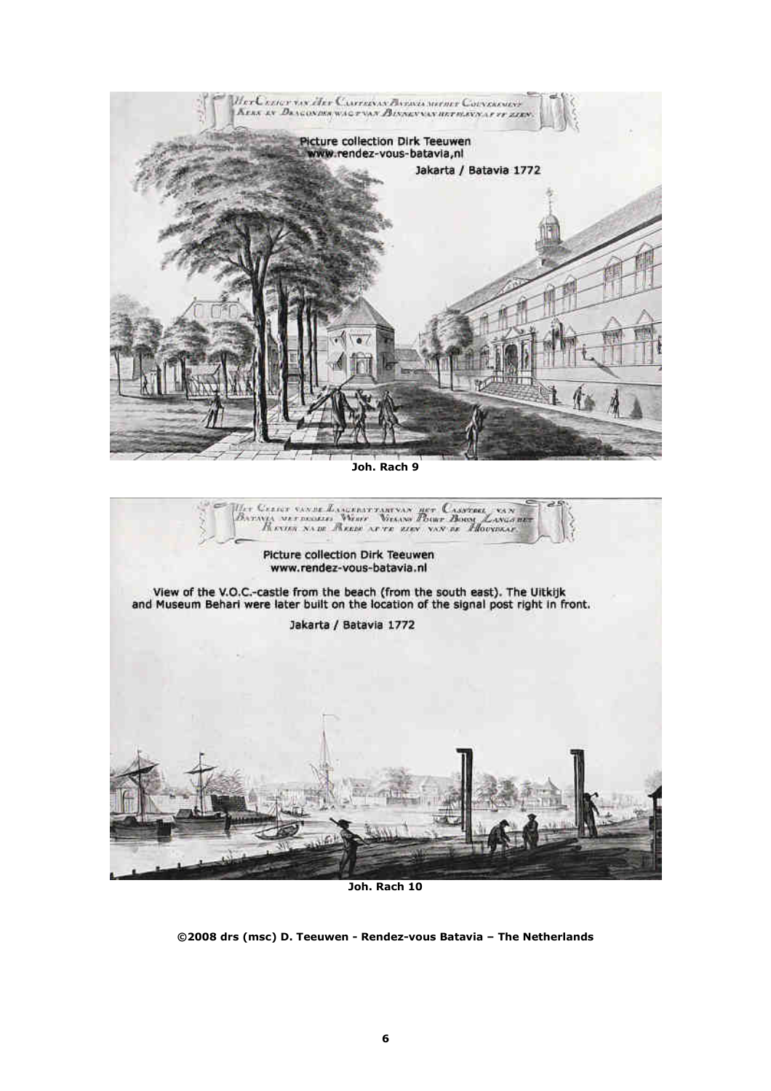

**Joh. Rach 9** 



**Joh. Rach 10**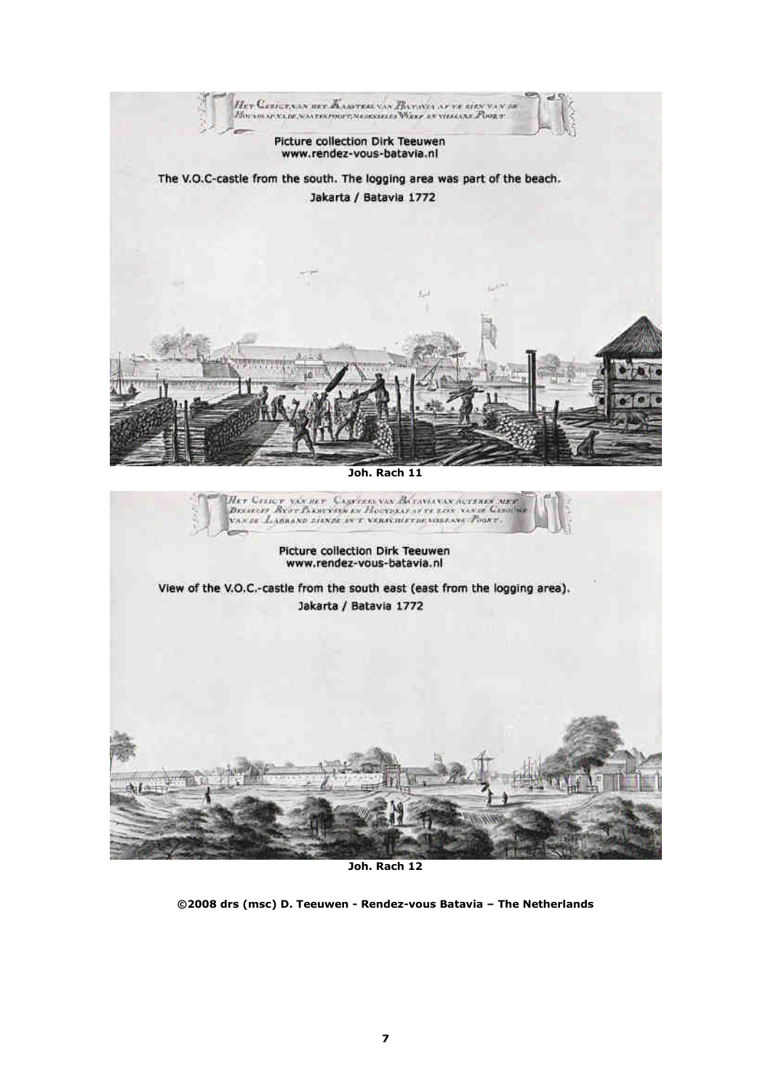

**Joh. Rach 12** 

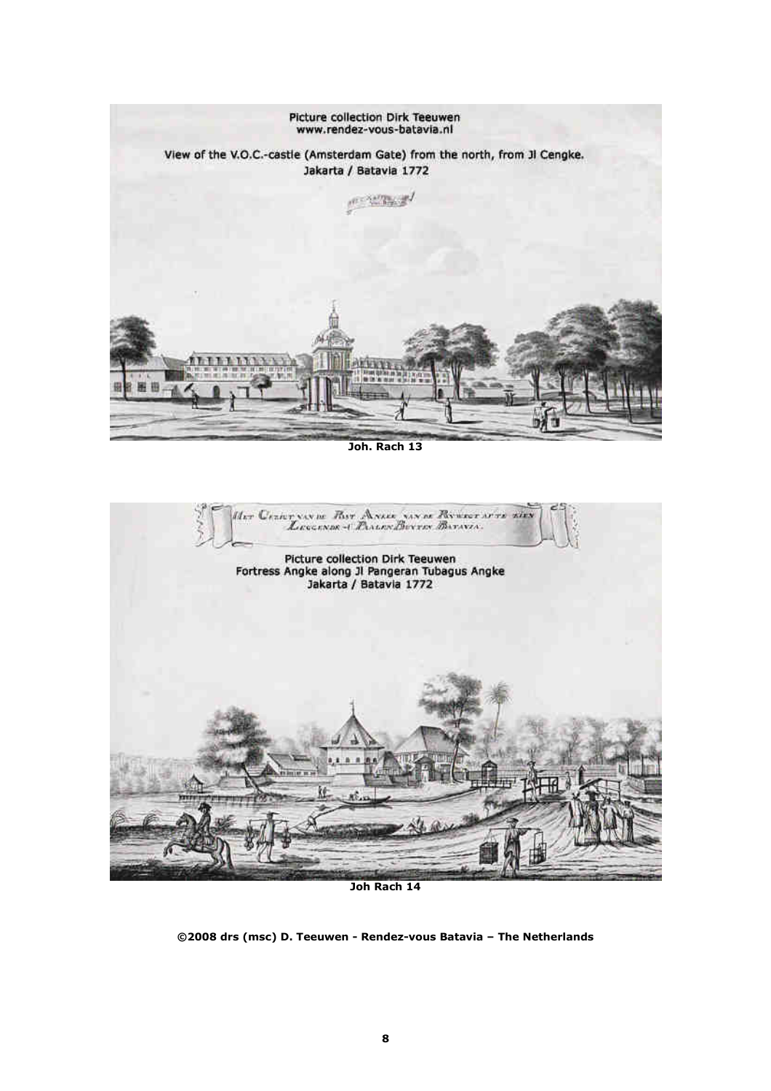

**Joh. Rach 13** 



**Joh Rach 14**